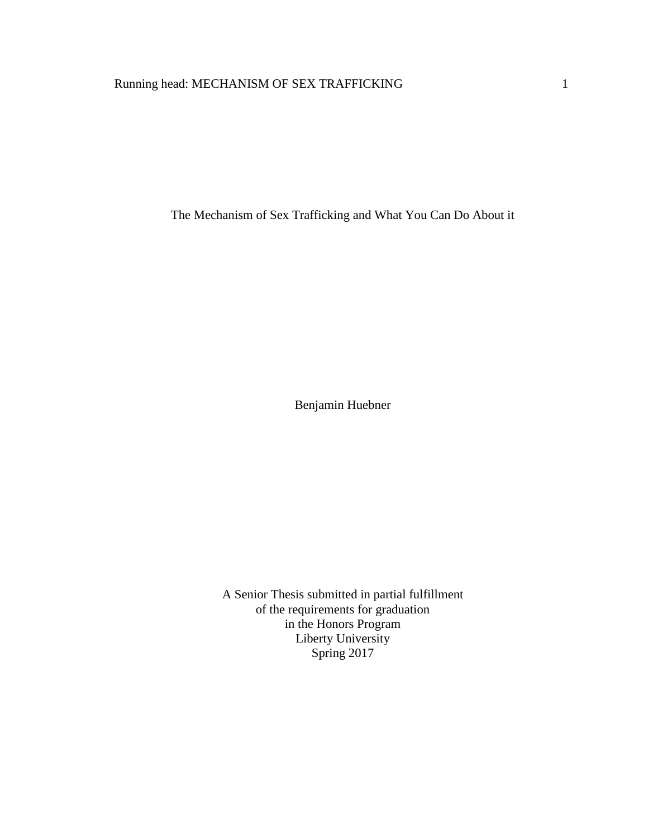The Mechanism of Sex Trafficking and What You Can Do About it

Benjamin Huebner

A Senior Thesis submitted in partial fulfillment of the requirements for graduation in the Honors Program Liberty University Spring 2017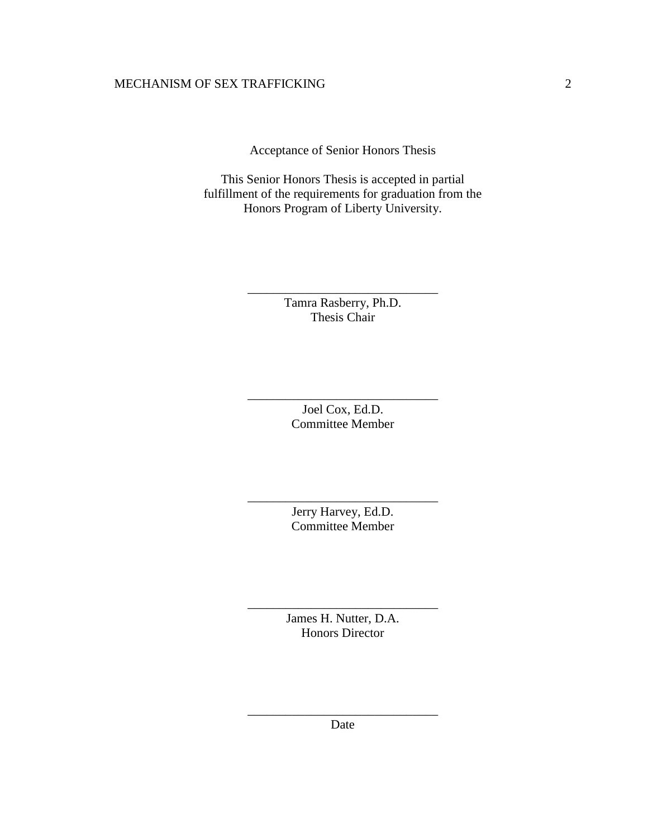Acceptance of Senior Honors Thesis

This Senior Honors Thesis is accepted in partial fulfillment of the requirements for graduation from the Honors Program of Liberty University.

> Tamra Rasberry, Ph.D. Thesis Chair

\_\_\_\_\_\_\_\_\_\_\_\_\_\_\_\_\_\_\_\_\_\_\_\_\_\_\_\_\_\_

Joel Cox, Ed.D. Committee Member

\_\_\_\_\_\_\_\_\_\_\_\_\_\_\_\_\_\_\_\_\_\_\_\_\_\_\_\_\_\_

Jerry Harvey, Ed.D. Committee Member

\_\_\_\_\_\_\_\_\_\_\_\_\_\_\_\_\_\_\_\_\_\_\_\_\_\_\_\_\_\_

James H. Nutter, D.A. Honors Director

\_\_\_\_\_\_\_\_\_\_\_\_\_\_\_\_\_\_\_\_\_\_\_\_\_\_\_\_\_\_

\_\_\_\_\_\_\_\_\_\_\_\_\_\_\_\_\_\_\_\_\_\_\_\_\_\_\_\_\_\_ Date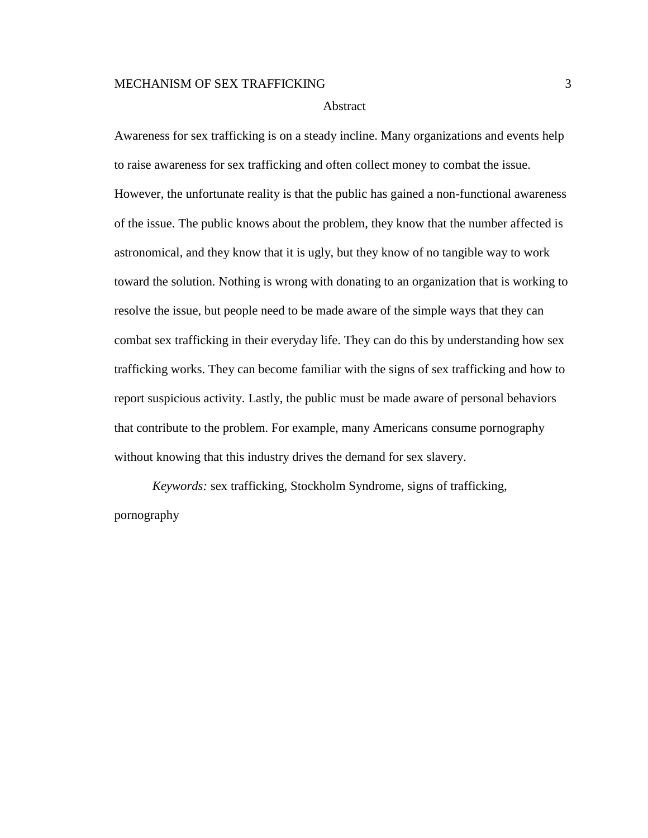#### Abstract

Awareness for sex trafficking is on a steady incline. Many organizations and events help to raise awareness for sex trafficking and often collect money to combat the issue. However, the unfortunate reality is that the public has gained a non-functional awareness of the issue. The public knows about the problem, they know that the number affected is astronomical, and they know that it is ugly, but they know of no tangible way to work toward the solution. Nothing is wrong with donating to an organization that is working to resolve the issue, but people need to be made aware of the simple ways that they can combat sex trafficking in their everyday life. They can do this by understanding how sex trafficking works. They can become familiar with the signs of sex trafficking and how to report suspicious activity. Lastly, the public must be made aware of personal behaviors that contribute to the problem. For example, many Americans consume pornography without knowing that this industry drives the demand for sex slavery.

*Keywords:* sex trafficking, Stockholm Syndrome, signs of trafficking, pornography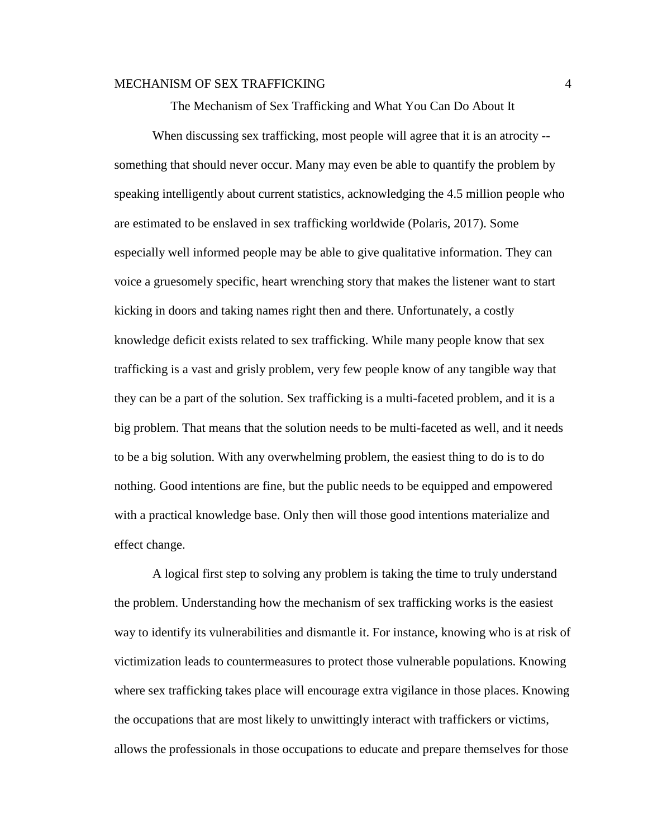The Mechanism of Sex Trafficking and What You Can Do About It

When discussing sex trafficking, most people will agree that it is an atrocity -something that should never occur. Many may even be able to quantify the problem by speaking intelligently about current statistics, acknowledging the 4.5 million people who are estimated to be enslaved in sex trafficking worldwide (Polaris, 2017). Some especially well informed people may be able to give qualitative information. They can voice a gruesomely specific, heart wrenching story that makes the listener want to start kicking in doors and taking names right then and there. Unfortunately, a costly knowledge deficit exists related to sex trafficking. While many people know that sex trafficking is a vast and grisly problem, very few people know of any tangible way that they can be a part of the solution. Sex trafficking is a multi-faceted problem, and it is a big problem. That means that the solution needs to be multi-faceted as well, and it needs to be a big solution. With any overwhelming problem, the easiest thing to do is to do nothing. Good intentions are fine, but the public needs to be equipped and empowered with a practical knowledge base. Only then will those good intentions materialize and effect change.

A logical first step to solving any problem is taking the time to truly understand the problem. Understanding how the mechanism of sex trafficking works is the easiest way to identify its vulnerabilities and dismantle it. For instance, knowing who is at risk of victimization leads to countermeasures to protect those vulnerable populations. Knowing where sex trafficking takes place will encourage extra vigilance in those places. Knowing the occupations that are most likely to unwittingly interact with traffickers or victims, allows the professionals in those occupations to educate and prepare themselves for those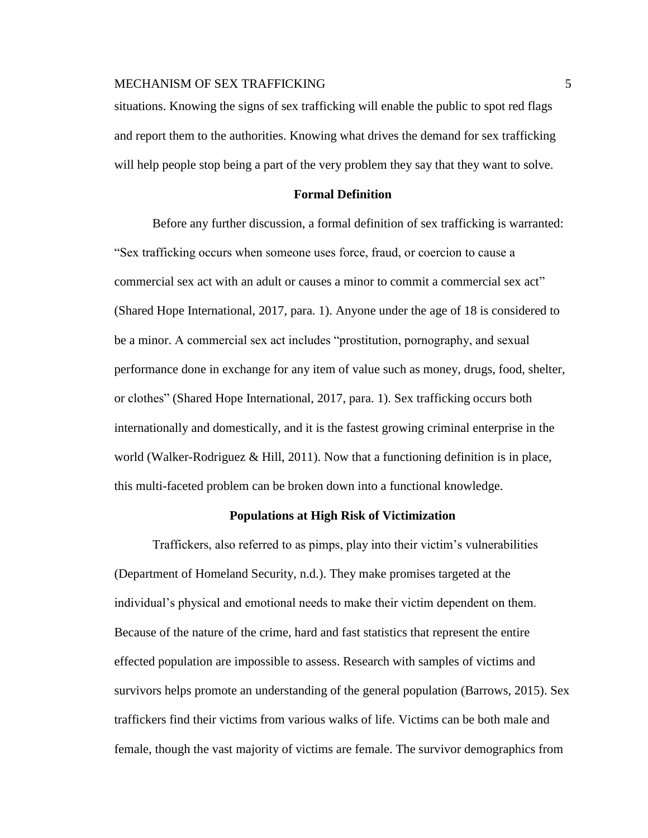# MECHANISM OF SEX TRAFFICKING **FOR SEX 1999** 5

situations. Knowing the signs of sex trafficking will enable the public to spot red flags and report them to the authorities. Knowing what drives the demand for sex trafficking will help people stop being a part of the very problem they say that they want to solve.

# **Formal Definition**

Before any further discussion, a formal definition of sex trafficking is warranted: "Sex trafficking occurs when someone uses force, fraud, or coercion to cause a commercial sex act with an adult or causes a minor to commit a commercial sex act" (Shared Hope International, 2017, para. 1). Anyone under the age of 18 is considered to be a minor. A commercial sex act includes "prostitution, pornography, and sexual performance done in exchange for any item of value such as money, drugs, food, shelter, or clothes" (Shared Hope International, 2017, para. 1). Sex trafficking occurs both internationally and domestically, and it is the fastest growing criminal enterprise in the world (Walker-Rodriguez & Hill, 2011). Now that a functioning definition is in place, this multi-faceted problem can be broken down into a functional knowledge.

#### **Populations at High Risk of Victimization**

Traffickers, also referred to as pimps, play into their victim's vulnerabilities (Department of Homeland Security, n.d.). They make promises targeted at the individual's physical and emotional needs to make their victim dependent on them. Because of the nature of the crime, hard and fast statistics that represent the entire effected population are impossible to assess. Research with samples of victims and survivors helps promote an understanding of the general population (Barrows, 2015). Sex traffickers find their victims from various walks of life. Victims can be both male and female, though the vast majority of victims are female. The survivor demographics from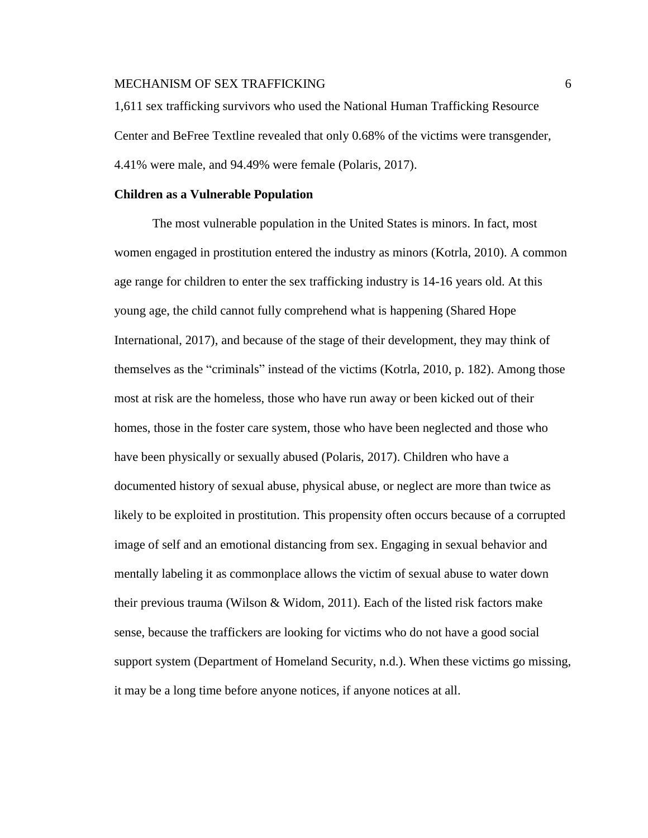1,611 sex trafficking survivors who used the National Human Trafficking Resource Center and BeFree Textline revealed that only 0.68% of the victims were transgender, 4.41% were male, and 94.49% were female (Polaris, 2017).

#### **Children as a Vulnerable Population**

The most vulnerable population in the United States is minors. In fact, most women engaged in prostitution entered the industry as minors (Kotrla, 2010). A common age range for children to enter the sex trafficking industry is 14-16 years old. At this young age, the child cannot fully comprehend what is happening (Shared Hope International, 2017), and because of the stage of their development, they may think of themselves as the "criminals" instead of the victims (Kotrla, 2010, p. 182). Among those most at risk are the homeless, those who have run away or been kicked out of their homes, those in the foster care system, those who have been neglected and those who have been physically or sexually abused (Polaris, 2017). Children who have a documented history of sexual abuse, physical abuse, or neglect are more than twice as likely to be exploited in prostitution. This propensity often occurs because of a corrupted image of self and an emotional distancing from sex. Engaging in sexual behavior and mentally labeling it as commonplace allows the victim of sexual abuse to water down their previous trauma (Wilson & Widom, 2011). Each of the listed risk factors make sense, because the traffickers are looking for victims who do not have a good social support system (Department of Homeland Security, n.d.). When these victims go missing, it may be a long time before anyone notices, if anyone notices at all.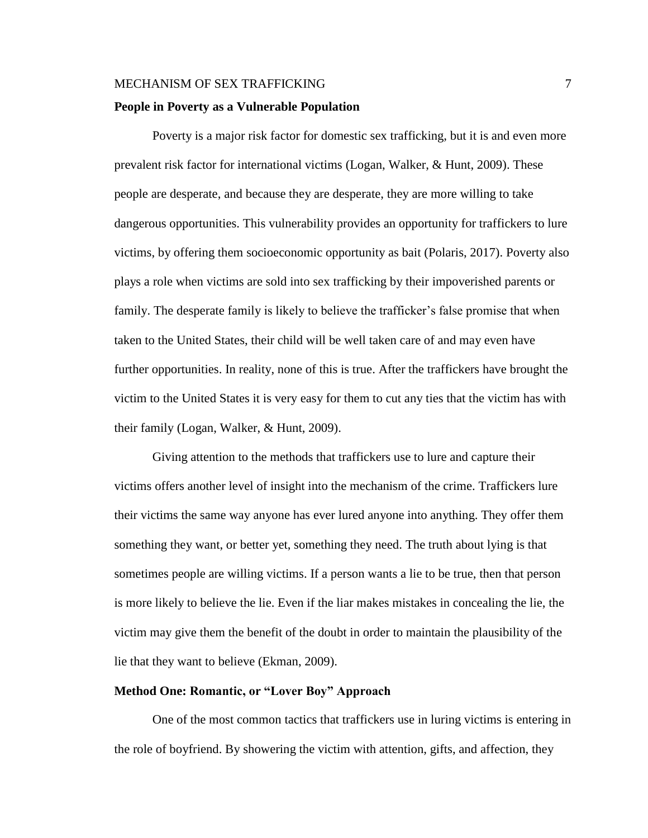# MECHANISM OF SEX TRAFFICKING **7** 7 **People in Poverty as a Vulnerable Population**

Poverty is a major risk factor for domestic sex trafficking, but it is and even more prevalent risk factor for international victims (Logan, Walker, & Hunt, 2009). These people are desperate, and because they are desperate, they are more willing to take dangerous opportunities. This vulnerability provides an opportunity for traffickers to lure victims, by offering them socioeconomic opportunity as bait (Polaris, 2017). Poverty also plays a role when victims are sold into sex trafficking by their impoverished parents or family. The desperate family is likely to believe the trafficker's false promise that when taken to the United States, their child will be well taken care of and may even have further opportunities. In reality, none of this is true. After the traffickers have brought the victim to the United States it is very easy for them to cut any ties that the victim has with their family (Logan, Walker, & Hunt, 2009).

Giving attention to the methods that traffickers use to lure and capture their victims offers another level of insight into the mechanism of the crime. Traffickers lure their victims the same way anyone has ever lured anyone into anything. They offer them something they want, or better yet, something they need. The truth about lying is that sometimes people are willing victims. If a person wants a lie to be true, then that person is more likely to believe the lie. Even if the liar makes mistakes in concealing the lie, the victim may give them the benefit of the doubt in order to maintain the plausibility of the lie that they want to believe (Ekman, 2009).

# **Method One: Romantic, or "Lover Boy" Approach**

One of the most common tactics that traffickers use in luring victims is entering in the role of boyfriend. By showering the victim with attention, gifts, and affection, they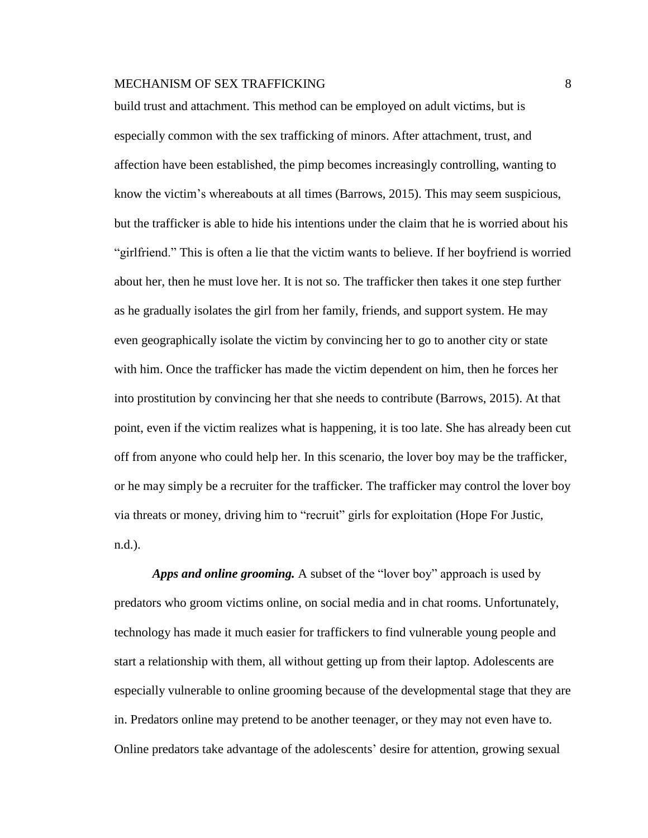build trust and attachment. This method can be employed on adult victims, but is especially common with the sex trafficking of minors. After attachment, trust, and affection have been established, the pimp becomes increasingly controlling, wanting to know the victim's whereabouts at all times (Barrows, 2015). This may seem suspicious, but the trafficker is able to hide his intentions under the claim that he is worried about his "girlfriend." This is often a lie that the victim wants to believe. If her boyfriend is worried about her, then he must love her. It is not so. The trafficker then takes it one step further as he gradually isolates the girl from her family, friends, and support system. He may even geographically isolate the victim by convincing her to go to another city or state with him. Once the trafficker has made the victim dependent on him, then he forces her into prostitution by convincing her that she needs to contribute (Barrows, 2015). At that point, even if the victim realizes what is happening, it is too late. She has already been cut off from anyone who could help her. In this scenario, the lover boy may be the trafficker, or he may simply be a recruiter for the trafficker. The trafficker may control the lover boy via threats or money, driving him to "recruit" girls for exploitation (Hope For Justic, n.d.).

*Apps and online grooming.* A subset of the "lover boy" approach is used by predators who groom victims online, on social media and in chat rooms. Unfortunately, technology has made it much easier for traffickers to find vulnerable young people and start a relationship with them, all without getting up from their laptop. Adolescents are especially vulnerable to online grooming because of the developmental stage that they are in. Predators online may pretend to be another teenager, or they may not even have to. Online predators take advantage of the adolescents' desire for attention, growing sexual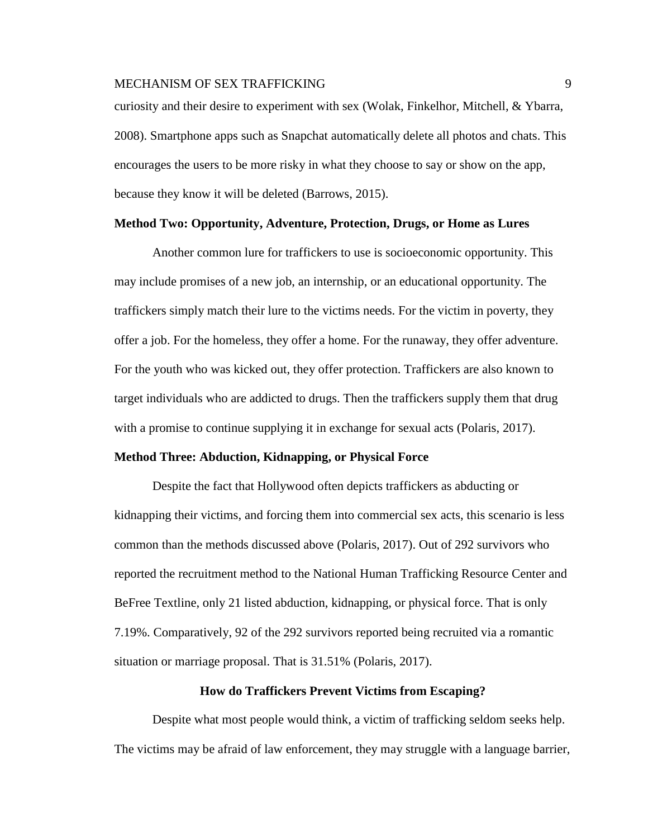# MECHANISM OF SEX TRAFFICKING PRODUCED AND SOLUTION OF SEX REAL PROPERTY.

curiosity and their desire to experiment with sex (Wolak, Finkelhor, Mitchell, & Ybarra, 2008). Smartphone apps such as Snapchat automatically delete all photos and chats. This encourages the users to be more risky in what they choose to say or show on the app, because they know it will be deleted (Barrows, 2015).

#### **Method Two: Opportunity, Adventure, Protection, Drugs, or Home as Lures**

Another common lure for traffickers to use is socioeconomic opportunity. This may include promises of a new job, an internship, or an educational opportunity. The traffickers simply match their lure to the victims needs. For the victim in poverty, they offer a job. For the homeless, they offer a home. For the runaway, they offer adventure. For the youth who was kicked out, they offer protection. Traffickers are also known to target individuals who are addicted to drugs. Then the traffickers supply them that drug with a promise to continue supplying it in exchange for sexual acts (Polaris, 2017).

#### **Method Three: Abduction, Kidnapping, or Physical Force**

Despite the fact that Hollywood often depicts traffickers as abducting or kidnapping their victims, and forcing them into commercial sex acts, this scenario is less common than the methods discussed above (Polaris, 2017). Out of 292 survivors who reported the recruitment method to the National Human Trafficking Resource Center and BeFree Textline, only 21 listed abduction, kidnapping, or physical force. That is only 7.19%. Comparatively, 92 of the 292 survivors reported being recruited via a romantic situation or marriage proposal. That is 31.51% (Polaris, 2017).

#### **How do Traffickers Prevent Victims from Escaping?**

Despite what most people would think, a victim of trafficking seldom seeks help. The victims may be afraid of law enforcement, they may struggle with a language barrier,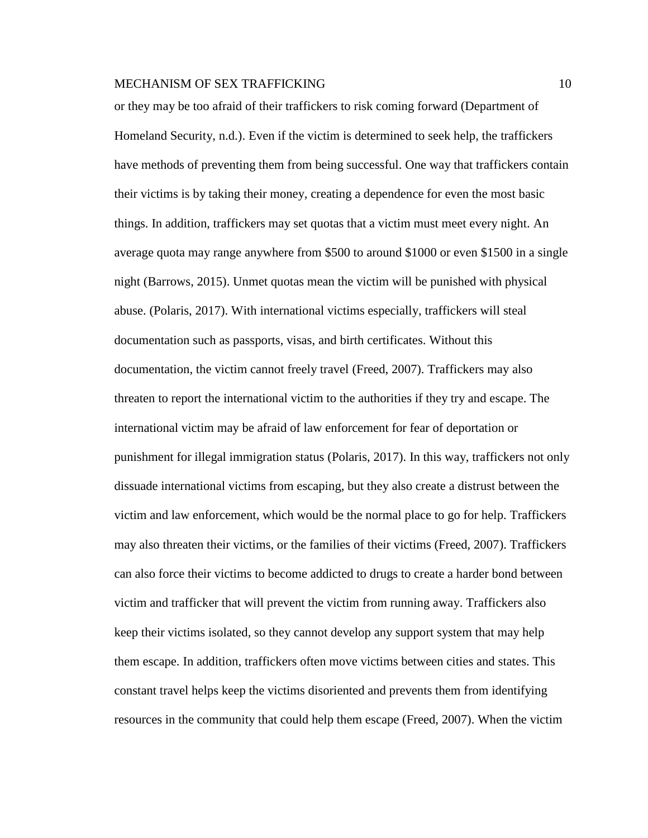or they may be too afraid of their traffickers to risk coming forward (Department of Homeland Security, n.d.). Even if the victim is determined to seek help, the traffickers have methods of preventing them from being successful. One way that traffickers contain their victims is by taking their money, creating a dependence for even the most basic things. In addition, traffickers may set quotas that a victim must meet every night. An average quota may range anywhere from \$500 to around \$1000 or even \$1500 in a single night (Barrows, 2015). Unmet quotas mean the victim will be punished with physical abuse. (Polaris, 2017). With international victims especially, traffickers will steal documentation such as passports, visas, and birth certificates. Without this documentation, the victim cannot freely travel (Freed, 2007). Traffickers may also threaten to report the international victim to the authorities if they try and escape. The international victim may be afraid of law enforcement for fear of deportation or punishment for illegal immigration status (Polaris, 2017). In this way, traffickers not only dissuade international victims from escaping, but they also create a distrust between the victim and law enforcement, which would be the normal place to go for help. Traffickers may also threaten their victims, or the families of their victims (Freed, 2007). Traffickers can also force their victims to become addicted to drugs to create a harder bond between victim and trafficker that will prevent the victim from running away. Traffickers also keep their victims isolated, so they cannot develop any support system that may help them escape. In addition, traffickers often move victims between cities and states. This constant travel helps keep the victims disoriented and prevents them from identifying resources in the community that could help them escape (Freed, 2007). When the victim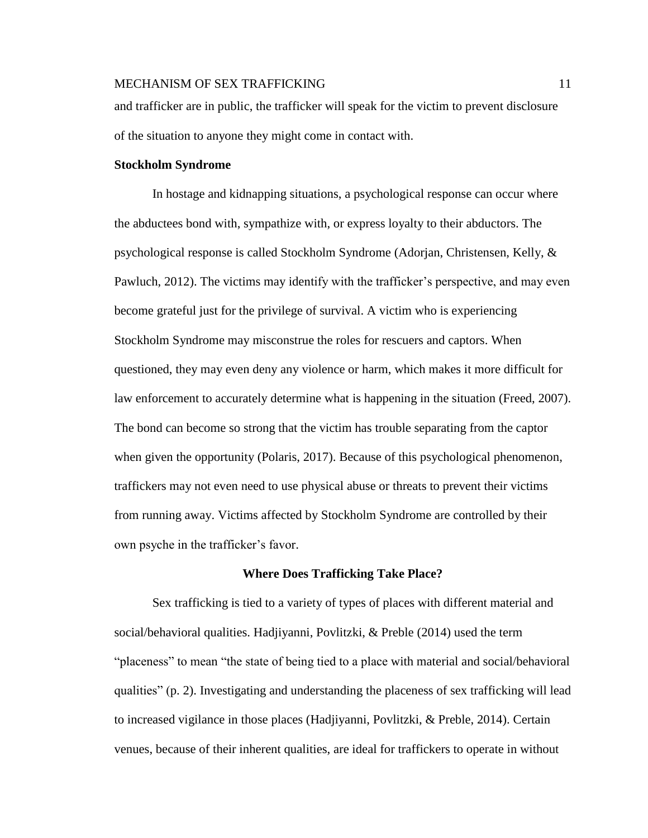and trafficker are in public, the trafficker will speak for the victim to prevent disclosure of the situation to anyone they might come in contact with.

#### **Stockholm Syndrome**

In hostage and kidnapping situations, a psychological response can occur where the abductees bond with, sympathize with, or express loyalty to their abductors. The psychological response is called Stockholm Syndrome (Adorjan, Christensen, Kelly, & Pawluch, 2012). The victims may identify with the trafficker's perspective, and may even become grateful just for the privilege of survival. A victim who is experiencing Stockholm Syndrome may misconstrue the roles for rescuers and captors. When questioned, they may even deny any violence or harm, which makes it more difficult for law enforcement to accurately determine what is happening in the situation (Freed, 2007). The bond can become so strong that the victim has trouble separating from the captor when given the opportunity (Polaris, 2017). Because of this psychological phenomenon, traffickers may not even need to use physical abuse or threats to prevent their victims from running away. Victims affected by Stockholm Syndrome are controlled by their own psyche in the trafficker's favor.

#### **Where Does Trafficking Take Place?**

Sex trafficking is tied to a variety of types of places with different material and social/behavioral qualities. Hadjiyanni, Povlitzki, & Preble (2014) used the term "placeness" to mean "the state of being tied to a place with material and social/behavioral qualities" (p. 2). Investigating and understanding the placeness of sex trafficking will lead to increased vigilance in those places (Hadjiyanni, Povlitzki, & Preble, 2014). Certain venues, because of their inherent qualities, are ideal for traffickers to operate in without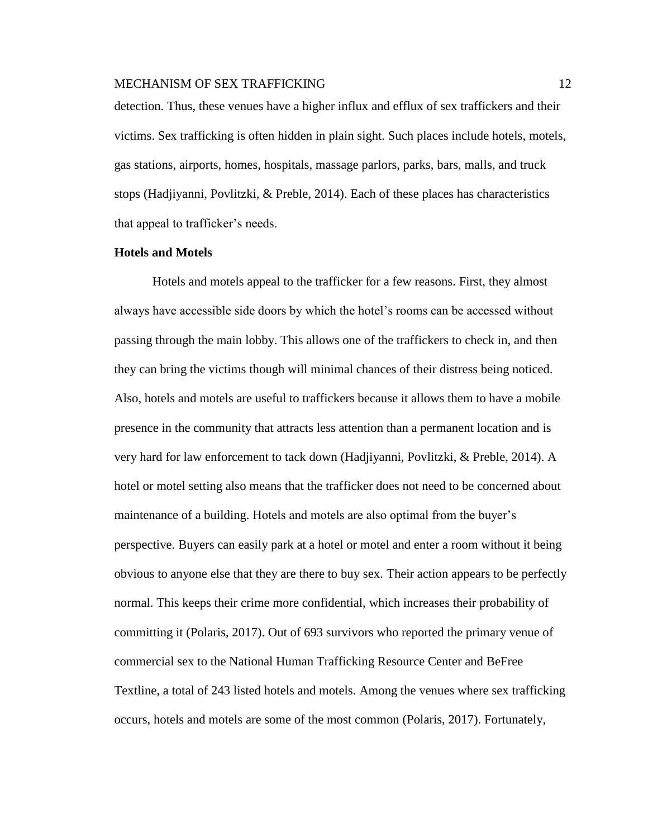detection. Thus, these venues have a higher influx and efflux of sex traffickers and their victims. Sex trafficking is often hidden in plain sight. Such places include hotels, motels, gas stations, airports, homes, hospitals, massage parlors, parks, bars, malls, and truck stops (Hadjiyanni, Povlitzki, & Preble, 2014). Each of these places has characteristics that appeal to trafficker's needs.

# **Hotels and Motels**

Hotels and motels appeal to the trafficker for a few reasons. First, they almost always have accessible side doors by which the hotel's rooms can be accessed without passing through the main lobby. This allows one of the traffickers to check in, and then they can bring the victims though will minimal chances of their distress being noticed. Also, hotels and motels are useful to traffickers because it allows them to have a mobile presence in the community that attracts less attention than a permanent location and is very hard for law enforcement to tack down (Hadjiyanni, Povlitzki, & Preble, 2014). A hotel or motel setting also means that the trafficker does not need to be concerned about maintenance of a building. Hotels and motels are also optimal from the buyer's perspective. Buyers can easily park at a hotel or motel and enter a room without it being obvious to anyone else that they are there to buy sex. Their action appears to be perfectly normal. This keeps their crime more confidential, which increases their probability of committing it (Polaris, 2017). Out of 693 survivors who reported the primary venue of commercial sex to the National Human Trafficking Resource Center and BeFree Textline, a total of 243 listed hotels and motels. Among the venues where sex trafficking occurs, hotels and motels are some of the most common (Polaris, 2017). Fortunately,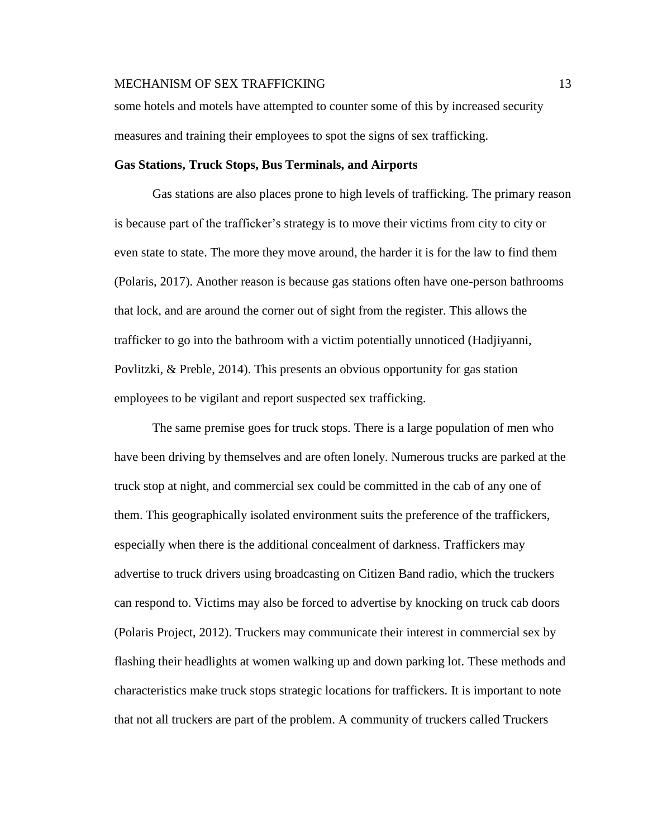some hotels and motels have attempted to counter some of this by increased security measures and training their employees to spot the signs of sex trafficking.

#### **Gas Stations, Truck Stops, Bus Terminals, and Airports**

Gas stations are also places prone to high levels of trafficking. The primary reason is because part of the trafficker's strategy is to move their victims from city to city or even state to state. The more they move around, the harder it is for the law to find them (Polaris, 2017). Another reason is because gas stations often have one-person bathrooms that lock, and are around the corner out of sight from the register. This allows the trafficker to go into the bathroom with a victim potentially unnoticed (Hadjiyanni, Povlitzki, & Preble, 2014). This presents an obvious opportunity for gas station employees to be vigilant and report suspected sex trafficking.

The same premise goes for truck stops. There is a large population of men who have been driving by themselves and are often lonely. Numerous trucks are parked at the truck stop at night, and commercial sex could be committed in the cab of any one of them. This geographically isolated environment suits the preference of the traffickers, especially when there is the additional concealment of darkness. Traffickers may advertise to truck drivers using broadcasting on Citizen Band radio, which the truckers can respond to. Victims may also be forced to advertise by knocking on truck cab doors (Polaris Project, 2012). Truckers may communicate their interest in commercial sex by flashing their headlights at women walking up and down parking lot. These methods and characteristics make truck stops strategic locations for traffickers. It is important to note that not all truckers are part of the problem. A community of truckers called Truckers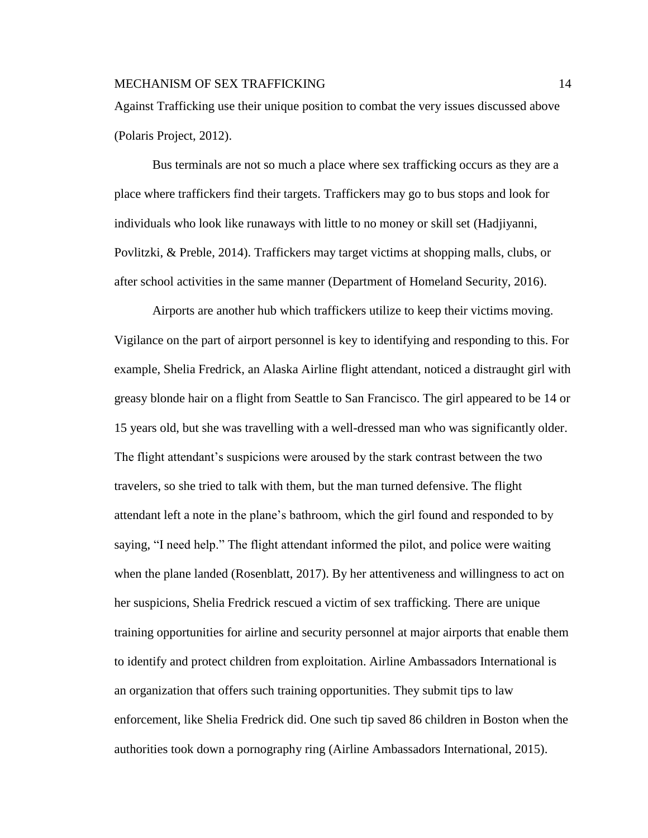Against Trafficking use their unique position to combat the very issues discussed above (Polaris Project, 2012).

Bus terminals are not so much a place where sex trafficking occurs as they are a place where traffickers find their targets. Traffickers may go to bus stops and look for individuals who look like runaways with little to no money or skill set (Hadjiyanni, Povlitzki, & Preble, 2014). Traffickers may target victims at shopping malls, clubs, or after school activities in the same manner (Department of Homeland Security, 2016).

Airports are another hub which traffickers utilize to keep their victims moving. Vigilance on the part of airport personnel is key to identifying and responding to this. For example, Shelia Fredrick, an Alaska Airline flight attendant, noticed a distraught girl with greasy blonde hair on a flight from Seattle to San Francisco. The girl appeared to be 14 or 15 years old, but she was travelling with a well-dressed man who was significantly older. The flight attendant's suspicions were aroused by the stark contrast between the two travelers, so she tried to talk with them, but the man turned defensive. The flight attendant left a note in the plane's bathroom, which the girl found and responded to by saying, "I need help." The flight attendant informed the pilot, and police were waiting when the plane landed (Rosenblatt, 2017). By her attentiveness and willingness to act on her suspicions, Shelia Fredrick rescued a victim of sex trafficking. There are unique training opportunities for airline and security personnel at major airports that enable them to identify and protect children from exploitation. Airline Ambassadors International is an organization that offers such training opportunities. They submit tips to law enforcement, like Shelia Fredrick did. One such tip saved 86 children in Boston when the authorities took down a pornography ring (Airline Ambassadors International, 2015).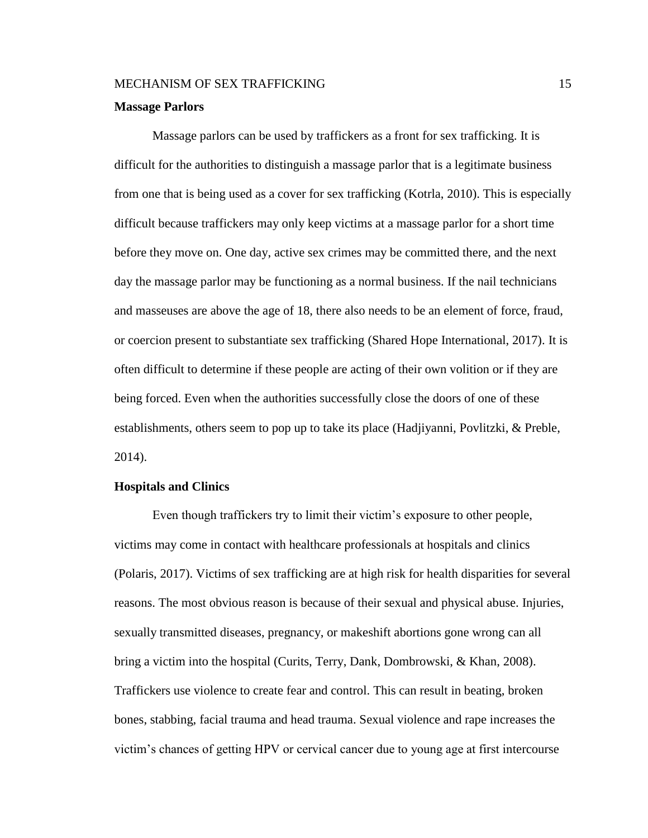#### **Massage Parlors**

Massage parlors can be used by traffickers as a front for sex trafficking. It is difficult for the authorities to distinguish a massage parlor that is a legitimate business from one that is being used as a cover for sex trafficking (Kotrla, 2010). This is especially difficult because traffickers may only keep victims at a massage parlor for a short time before they move on. One day, active sex crimes may be committed there, and the next day the massage parlor may be functioning as a normal business. If the nail technicians and masseuses are above the age of 18, there also needs to be an element of force, fraud, or coercion present to substantiate sex trafficking (Shared Hope International, 2017). It is often difficult to determine if these people are acting of their own volition or if they are being forced. Even when the authorities successfully close the doors of one of these establishments, others seem to pop up to take its place (Hadjiyanni, Povlitzki, & Preble, 2014).

#### **Hospitals and Clinics**

Even though traffickers try to limit their victim's exposure to other people, victims may come in contact with healthcare professionals at hospitals and clinics (Polaris, 2017). Victims of sex trafficking are at high risk for health disparities for several reasons. The most obvious reason is because of their sexual and physical abuse. Injuries, sexually transmitted diseases, pregnancy, or makeshift abortions gone wrong can all bring a victim into the hospital (Curits, Terry, Dank, Dombrowski, & Khan, 2008). Traffickers use violence to create fear and control. This can result in beating, broken bones, stabbing, facial trauma and head trauma. Sexual violence and rape increases the victim's chances of getting HPV or cervical cancer due to young age at first intercourse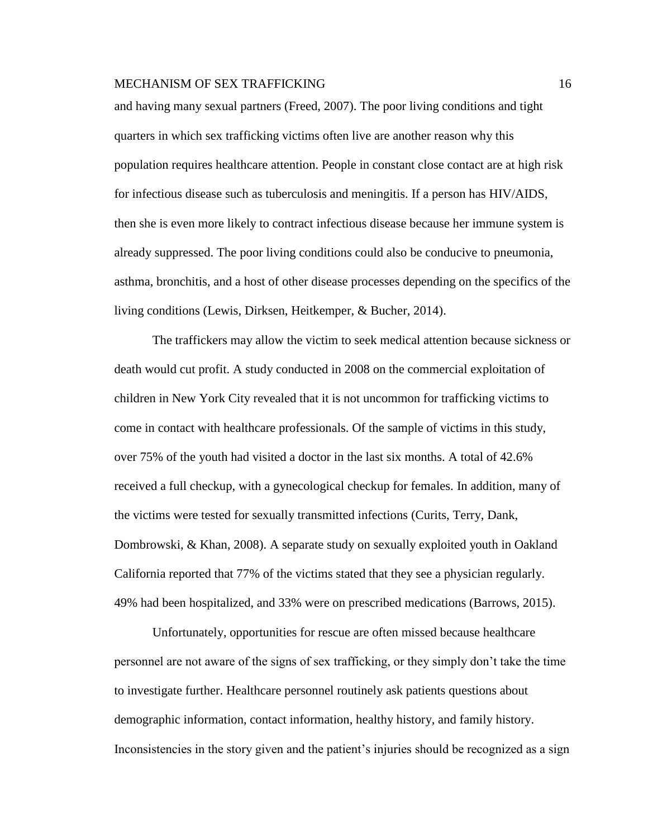and having many sexual partners (Freed, 2007). The poor living conditions and tight quarters in which sex trafficking victims often live are another reason why this population requires healthcare attention. People in constant close contact are at high risk for infectious disease such as tuberculosis and meningitis. If a person has HIV/AIDS, then she is even more likely to contract infectious disease because her immune system is already suppressed. The poor living conditions could also be conducive to pneumonia, asthma, bronchitis, and a host of other disease processes depending on the specifics of the living conditions (Lewis, Dirksen, Heitkemper, & Bucher, 2014).

The traffickers may allow the victim to seek medical attention because sickness or death would cut profit. A study conducted in 2008 on the commercial exploitation of children in New York City revealed that it is not uncommon for trafficking victims to come in contact with healthcare professionals. Of the sample of victims in this study, over 75% of the youth had visited a doctor in the last six months. A total of 42.6% received a full checkup, with a gynecological checkup for females. In addition, many of the victims were tested for sexually transmitted infections (Curits, Terry, Dank, Dombrowski, & Khan, 2008). A separate study on sexually exploited youth in Oakland California reported that 77% of the victims stated that they see a physician regularly. 49% had been hospitalized, and 33% were on prescribed medications (Barrows, 2015).

Unfortunately, opportunities for rescue are often missed because healthcare personnel are not aware of the signs of sex trafficking, or they simply don't take the time to investigate further. Healthcare personnel routinely ask patients questions about demographic information, contact information, healthy history, and family history. Inconsistencies in the story given and the patient's injuries should be recognized as a sign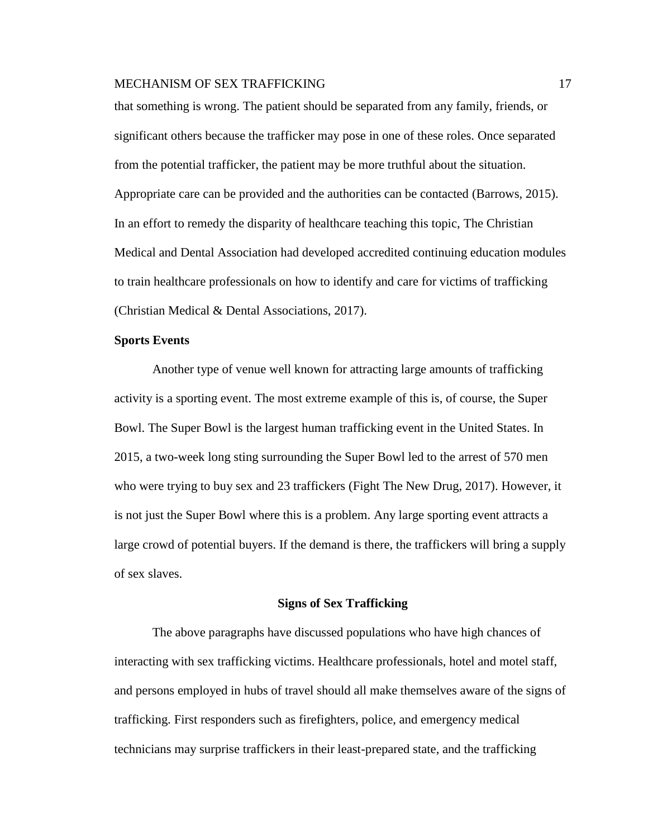that something is wrong. The patient should be separated from any family, friends, or significant others because the trafficker may pose in one of these roles. Once separated from the potential trafficker, the patient may be more truthful about the situation. Appropriate care can be provided and the authorities can be contacted (Barrows, 2015). In an effort to remedy the disparity of healthcare teaching this topic, The Christian Medical and Dental Association had developed accredited continuing education modules to train healthcare professionals on how to identify and care for victims of trafficking (Christian Medical & Dental Associations, 2017).

#### **Sports Events**

Another type of venue well known for attracting large amounts of trafficking activity is a sporting event. The most extreme example of this is, of course, the Super Bowl. The Super Bowl is the largest human trafficking event in the United States. In 2015, a two-week long sting surrounding the Super Bowl led to the arrest of 570 men who were trying to buy sex and 23 traffickers (Fight The New Drug, 2017). However, it is not just the Super Bowl where this is a problem. Any large sporting event attracts a large crowd of potential buyers. If the demand is there, the traffickers will bring a supply of sex slaves.

#### **Signs of Sex Trafficking**

The above paragraphs have discussed populations who have high chances of interacting with sex trafficking victims. Healthcare professionals, hotel and motel staff, and persons employed in hubs of travel should all make themselves aware of the signs of trafficking. First responders such as firefighters, police, and emergency medical technicians may surprise traffickers in their least-prepared state, and the trafficking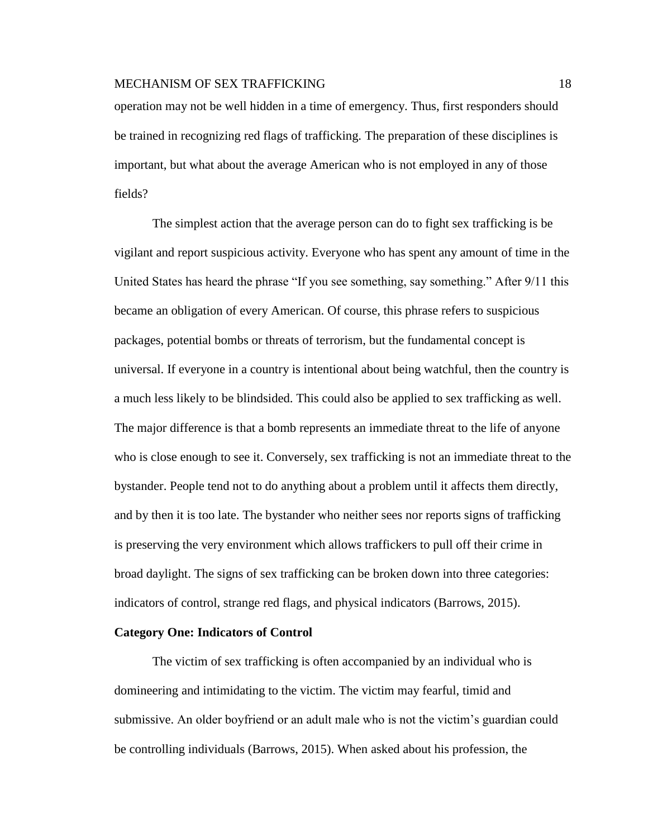operation may not be well hidden in a time of emergency. Thus, first responders should be trained in recognizing red flags of trafficking. The preparation of these disciplines is important, but what about the average American who is not employed in any of those fields?

The simplest action that the average person can do to fight sex trafficking is be vigilant and report suspicious activity. Everyone who has spent any amount of time in the United States has heard the phrase "If you see something, say something." After 9/11 this became an obligation of every American. Of course, this phrase refers to suspicious packages, potential bombs or threats of terrorism, but the fundamental concept is universal. If everyone in a country is intentional about being watchful, then the country is a much less likely to be blindsided. This could also be applied to sex trafficking as well. The major difference is that a bomb represents an immediate threat to the life of anyone who is close enough to see it. Conversely, sex trafficking is not an immediate threat to the bystander. People tend not to do anything about a problem until it affects them directly, and by then it is too late. The bystander who neither sees nor reports signs of trafficking is preserving the very environment which allows traffickers to pull off their crime in broad daylight. The signs of sex trafficking can be broken down into three categories: indicators of control, strange red flags, and physical indicators (Barrows, 2015).

#### **Category One: Indicators of Control**

The victim of sex trafficking is often accompanied by an individual who is domineering and intimidating to the victim. The victim may fearful, timid and submissive. An older boyfriend or an adult male who is not the victim's guardian could be controlling individuals (Barrows, 2015). When asked about his profession, the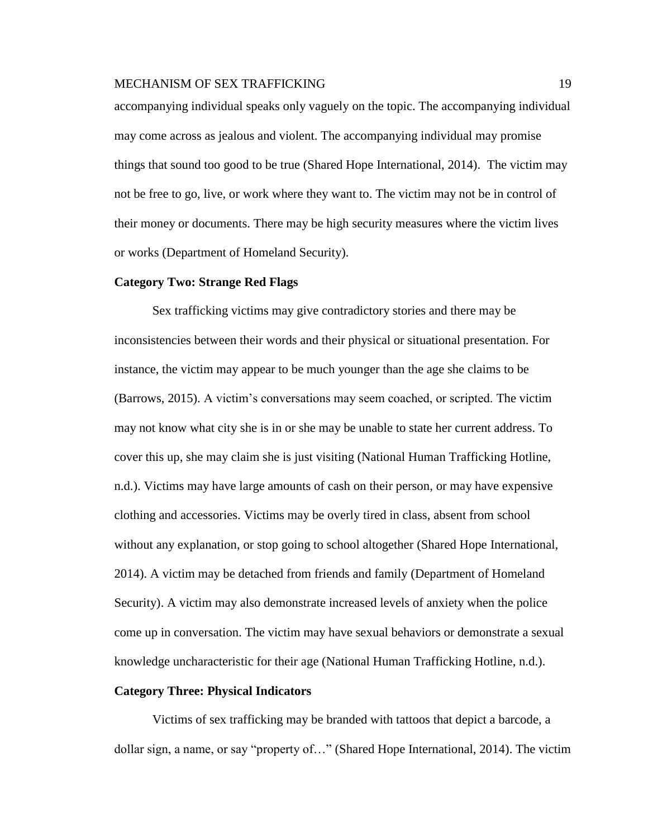accompanying individual speaks only vaguely on the topic. The accompanying individual may come across as jealous and violent. The accompanying individual may promise things that sound too good to be true (Shared Hope International, 2014). The victim may not be free to go, live, or work where they want to. The victim may not be in control of their money or documents. There may be high security measures where the victim lives or works (Department of Homeland Security).

#### **Category Two: Strange Red Flags**

Sex trafficking victims may give contradictory stories and there may be inconsistencies between their words and their physical or situational presentation. For instance, the victim may appear to be much younger than the age she claims to be (Barrows, 2015). A victim's conversations may seem coached, or scripted. The victim may not know what city she is in or she may be unable to state her current address. To cover this up, she may claim she is just visiting (National Human Trafficking Hotline, n.d.). Victims may have large amounts of cash on their person, or may have expensive clothing and accessories. Victims may be overly tired in class, absent from school without any explanation, or stop going to school altogether (Shared Hope International, 2014). A victim may be detached from friends and family (Department of Homeland Security). A victim may also demonstrate increased levels of anxiety when the police come up in conversation. The victim may have sexual behaviors or demonstrate a sexual knowledge uncharacteristic for their age (National Human Trafficking Hotline, n.d.).

#### **Category Three: Physical Indicators**

Victims of sex trafficking may be branded with tattoos that depict a barcode, a dollar sign, a name, or say "property of…" (Shared Hope International, 2014). The victim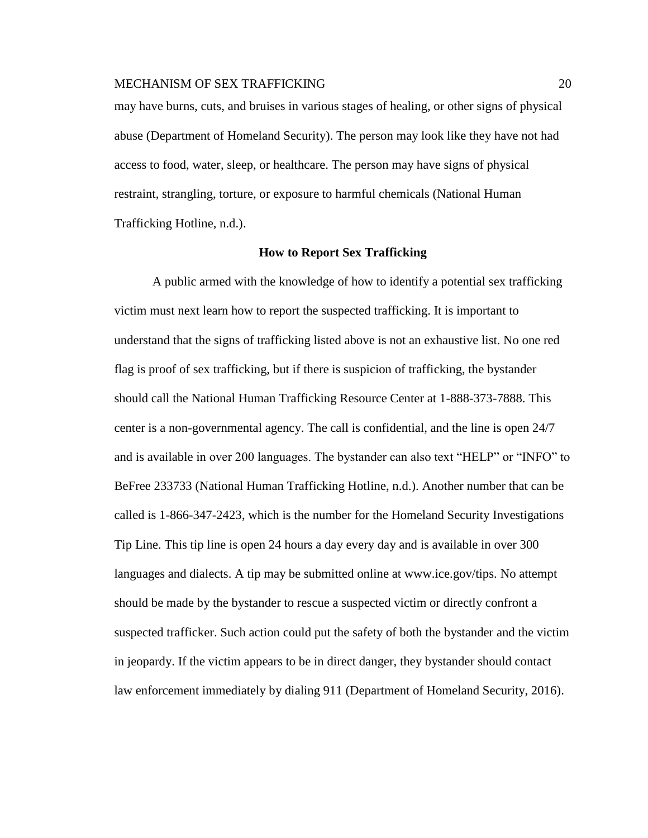may have burns, cuts, and bruises in various stages of healing, or other signs of physical abuse (Department of Homeland Security). The person may look like they have not had access to food, water, sleep, or healthcare. The person may have signs of physical restraint, strangling, torture, or exposure to harmful chemicals (National Human Trafficking Hotline, n.d.).

#### **How to Report Sex Trafficking**

A public armed with the knowledge of how to identify a potential sex trafficking victim must next learn how to report the suspected trafficking. It is important to understand that the signs of trafficking listed above is not an exhaustive list. No one red flag is proof of sex trafficking, but if there is suspicion of trafficking, the bystander should call the National Human Trafficking Resource Center at 1-888-373-7888. This center is a non-governmental agency. The call is confidential, and the line is open 24/7 and is available in over 200 languages. The bystander can also text "HELP" or "INFO" to BeFree 233733 (National Human Trafficking Hotline, n.d.). Another number that can be called is 1-866-347-2423, which is the number for the Homeland Security Investigations Tip Line. This tip line is open 24 hours a day every day and is available in over 300 languages and dialects. A tip may be submitted online at www.ice.gov/tips. No attempt should be made by the bystander to rescue a suspected victim or directly confront a suspected trafficker. Such action could put the safety of both the bystander and the victim in jeopardy. If the victim appears to be in direct danger, they bystander should contact law enforcement immediately by dialing 911 (Department of Homeland Security, 2016).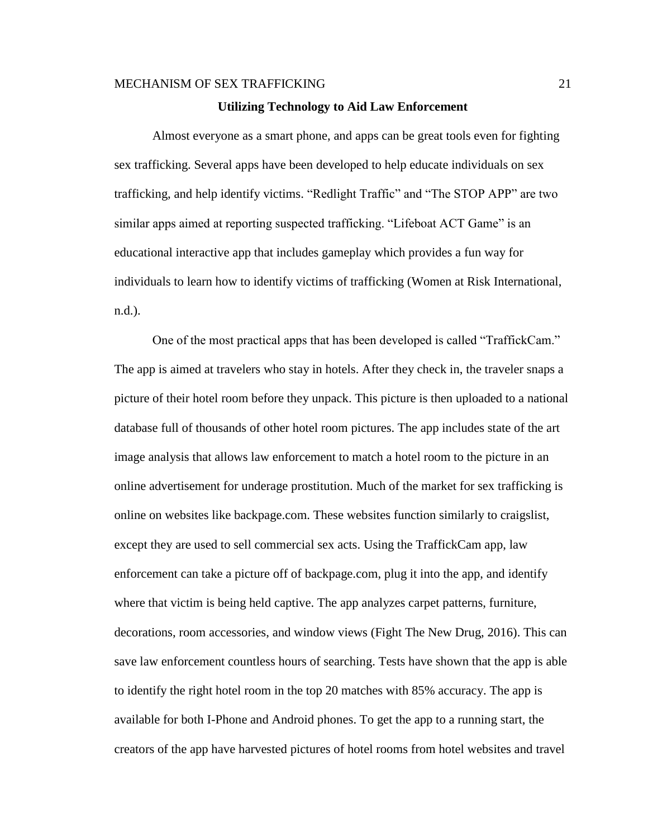#### **Utilizing Technology to Aid Law Enforcement**

Almost everyone as a smart phone, and apps can be great tools even for fighting sex trafficking. Several apps have been developed to help educate individuals on sex trafficking, and help identify victims. "Redlight Traffic" and "The STOP APP" are two similar apps aimed at reporting suspected trafficking. "Lifeboat ACT Game" is an educational interactive app that includes gameplay which provides a fun way for individuals to learn how to identify victims of trafficking (Women at Risk International, n.d.).

One of the most practical apps that has been developed is called "TraffickCam." The app is aimed at travelers who stay in hotels. After they check in, the traveler snaps a picture of their hotel room before they unpack. This picture is then uploaded to a national database full of thousands of other hotel room pictures. The app includes state of the art image analysis that allows law enforcement to match a hotel room to the picture in an online advertisement for underage prostitution. Much of the market for sex trafficking is online on websites like backpage.com. These websites function similarly to craigslist, except they are used to sell commercial sex acts. Using the TraffickCam app, law enforcement can take a picture off of backpage.com, plug it into the app, and identify where that victim is being held captive. The app analyzes carpet patterns, furniture, decorations, room accessories, and window views (Fight The New Drug, 2016). This can save law enforcement countless hours of searching. Tests have shown that the app is able to identify the right hotel room in the top 20 matches with 85% accuracy. The app is available for both I-Phone and Android phones. To get the app to a running start, the creators of the app have harvested pictures of hotel rooms from hotel websites and travel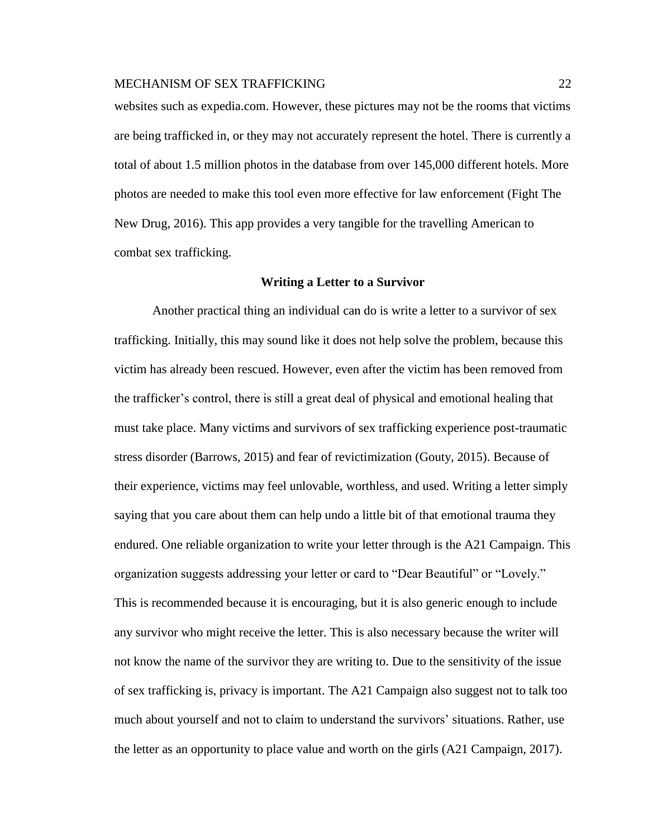websites such as expedia.com. However, these pictures may not be the rooms that victims are being trafficked in, or they may not accurately represent the hotel. There is currently a total of about 1.5 million photos in the database from over 145,000 different hotels. More photos are needed to make this tool even more effective for law enforcement (Fight The New Drug, 2016). This app provides a very tangible for the travelling American to combat sex trafficking.

#### **Writing a Letter to a Survivor**

Another practical thing an individual can do is write a letter to a survivor of sex trafficking. Initially, this may sound like it does not help solve the problem, because this victim has already been rescued. However, even after the victim has been removed from the trafficker's control, there is still a great deal of physical and emotional healing that must take place. Many victims and survivors of sex trafficking experience post-traumatic stress disorder (Barrows, 2015) and fear of revictimization (Gouty, 2015). Because of their experience, victims may feel unlovable, worthless, and used. Writing a letter simply saying that you care about them can help undo a little bit of that emotional trauma they endured. One reliable organization to write your letter through is the A21 Campaign. This organization suggests addressing your letter or card to "Dear Beautiful" or "Lovely." This is recommended because it is encouraging, but it is also generic enough to include any survivor who might receive the letter. This is also necessary because the writer will not know the name of the survivor they are writing to. Due to the sensitivity of the issue of sex trafficking is, privacy is important. The A21 Campaign also suggest not to talk too much about yourself and not to claim to understand the survivors' situations. Rather, use the letter as an opportunity to place value and worth on the girls (A21 Campaign, 2017).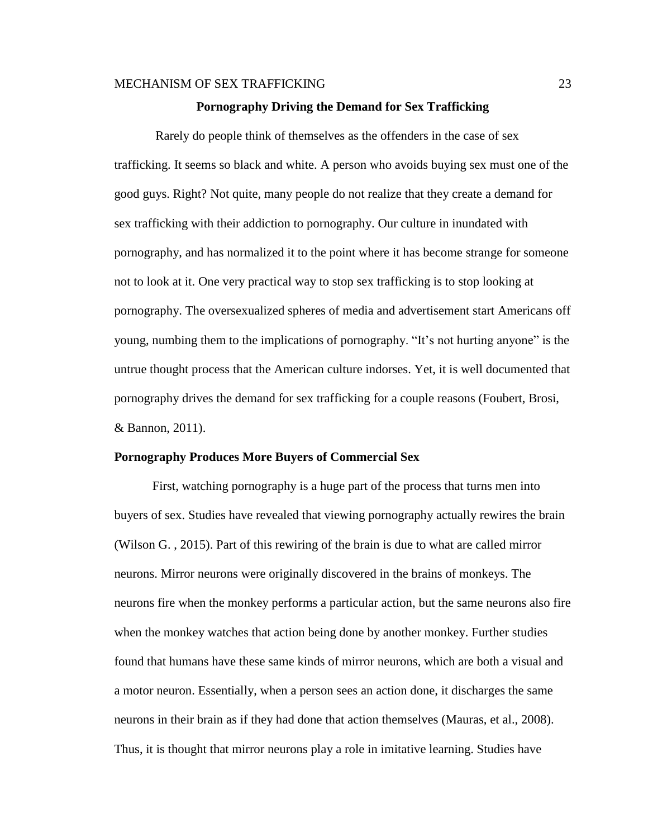#### **Pornography Driving the Demand for Sex Trafficking**

Rarely do people think of themselves as the offenders in the case of sex trafficking. It seems so black and white. A person who avoids buying sex must one of the good guys. Right? Not quite, many people do not realize that they create a demand for sex trafficking with their addiction to pornography. Our culture in inundated with pornography, and has normalized it to the point where it has become strange for someone not to look at it. One very practical way to stop sex trafficking is to stop looking at pornography. The oversexualized spheres of media and advertisement start Americans off young, numbing them to the implications of pornography. "It's not hurting anyone" is the untrue thought process that the American culture indorses. Yet, it is well documented that pornography drives the demand for sex trafficking for a couple reasons (Foubert, Brosi, & Bannon, 2011).

#### **Pornography Produces More Buyers of Commercial Sex**

First, watching pornography is a huge part of the process that turns men into buyers of sex. Studies have revealed that viewing pornography actually rewires the brain (Wilson G. , 2015). Part of this rewiring of the brain is due to what are called mirror neurons. Mirror neurons were originally discovered in the brains of monkeys. The neurons fire when the monkey performs a particular action, but the same neurons also fire when the monkey watches that action being done by another monkey. Further studies found that humans have these same kinds of mirror neurons, which are both a visual and a motor neuron. Essentially, when a person sees an action done, it discharges the same neurons in their brain as if they had done that action themselves (Mauras, et al., 2008). Thus, it is thought that mirror neurons play a role in imitative learning. Studies have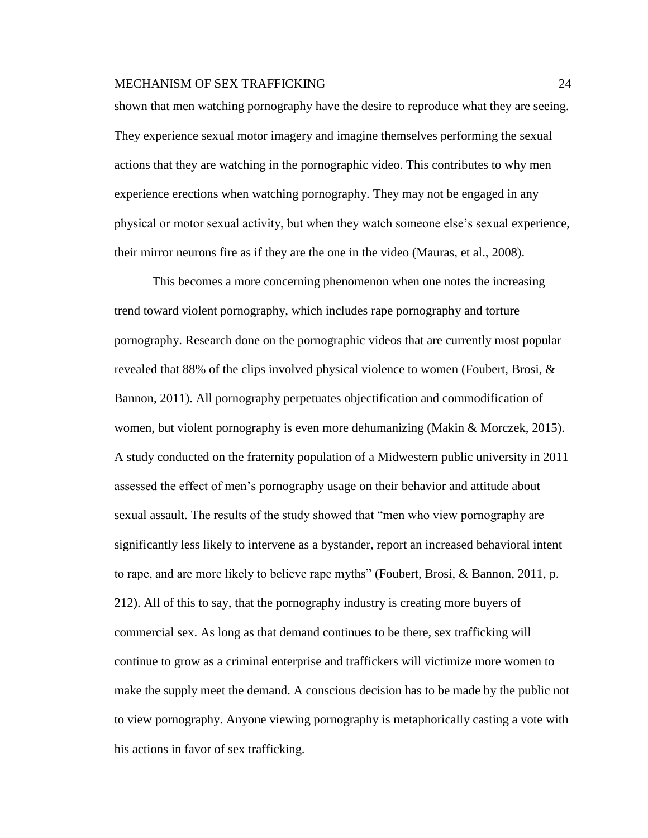shown that men watching pornography have the desire to reproduce what they are seeing. They experience sexual motor imagery and imagine themselves performing the sexual actions that they are watching in the pornographic video. This contributes to why men experience erections when watching pornography. They may not be engaged in any physical or motor sexual activity, but when they watch someone else's sexual experience, their mirror neurons fire as if they are the one in the video (Mauras, et al., 2008).

This becomes a more concerning phenomenon when one notes the increasing trend toward violent pornography, which includes rape pornography and torture pornography. Research done on the pornographic videos that are currently most popular revealed that 88% of the clips involved physical violence to women (Foubert, Brosi, & Bannon, 2011). All pornography perpetuates objectification and commodification of women, but violent pornography is even more dehumanizing (Makin & Morczek, 2015). A study conducted on the fraternity population of a Midwestern public university in 2011 assessed the effect of men's pornography usage on their behavior and attitude about sexual assault. The results of the study showed that "men who view pornography are significantly less likely to intervene as a bystander, report an increased behavioral intent to rape, and are more likely to believe rape myths" (Foubert, Brosi, & Bannon, 2011, p. 212). All of this to say, that the pornography industry is creating more buyers of commercial sex. As long as that demand continues to be there, sex trafficking will continue to grow as a criminal enterprise and traffickers will victimize more women to make the supply meet the demand. A conscious decision has to be made by the public not to view pornography. Anyone viewing pornography is metaphorically casting a vote with his actions in favor of sex trafficking.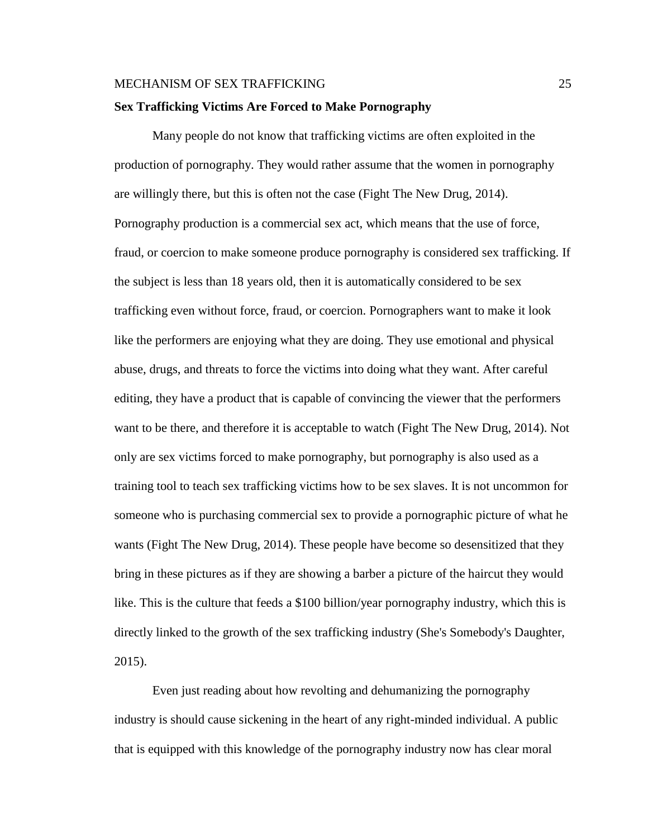#### **Sex Trafficking Victims Are Forced to Make Pornography**

Many people do not know that trafficking victims are often exploited in the production of pornography. They would rather assume that the women in pornography are willingly there, but this is often not the case (Fight The New Drug, 2014). Pornography production is a commercial sex act, which means that the use of force, fraud, or coercion to make someone produce pornography is considered sex trafficking. If the subject is less than 18 years old, then it is automatically considered to be sex trafficking even without force, fraud, or coercion. Pornographers want to make it look like the performers are enjoying what they are doing. They use emotional and physical abuse, drugs, and threats to force the victims into doing what they want. After careful editing, they have a product that is capable of convincing the viewer that the performers want to be there, and therefore it is acceptable to watch (Fight The New Drug, 2014). Not only are sex victims forced to make pornography, but pornography is also used as a training tool to teach sex trafficking victims how to be sex slaves. It is not uncommon for someone who is purchasing commercial sex to provide a pornographic picture of what he wants (Fight The New Drug, 2014). These people have become so desensitized that they bring in these pictures as if they are showing a barber a picture of the haircut they would like. This is the culture that feeds a \$100 billion/year pornography industry, which this is directly linked to the growth of the sex trafficking industry (She's Somebody's Daughter, 2015).

Even just reading about how revolting and dehumanizing the pornography industry is should cause sickening in the heart of any right-minded individual. A public that is equipped with this knowledge of the pornography industry now has clear moral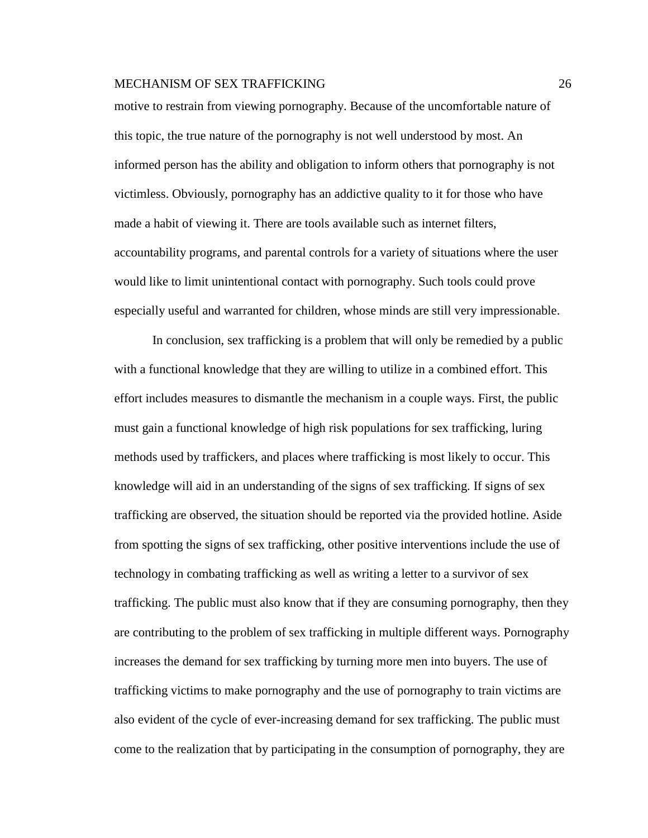motive to restrain from viewing pornography. Because of the uncomfortable nature of this topic, the true nature of the pornography is not well understood by most. An informed person has the ability and obligation to inform others that pornography is not victimless. Obviously, pornography has an addictive quality to it for those who have made a habit of viewing it. There are tools available such as internet filters, accountability programs, and parental controls for a variety of situations where the user would like to limit unintentional contact with pornography. Such tools could prove especially useful and warranted for children, whose minds are still very impressionable.

In conclusion, sex trafficking is a problem that will only be remedied by a public with a functional knowledge that they are willing to utilize in a combined effort. This effort includes measures to dismantle the mechanism in a couple ways. First, the public must gain a functional knowledge of high risk populations for sex trafficking, luring methods used by traffickers, and places where trafficking is most likely to occur. This knowledge will aid in an understanding of the signs of sex trafficking. If signs of sex trafficking are observed, the situation should be reported via the provided hotline. Aside from spotting the signs of sex trafficking, other positive interventions include the use of technology in combating trafficking as well as writing a letter to a survivor of sex trafficking. The public must also know that if they are consuming pornography, then they are contributing to the problem of sex trafficking in multiple different ways. Pornography increases the demand for sex trafficking by turning more men into buyers. The use of trafficking victims to make pornography and the use of pornography to train victims are also evident of the cycle of ever-increasing demand for sex trafficking. The public must come to the realization that by participating in the consumption of pornography, they are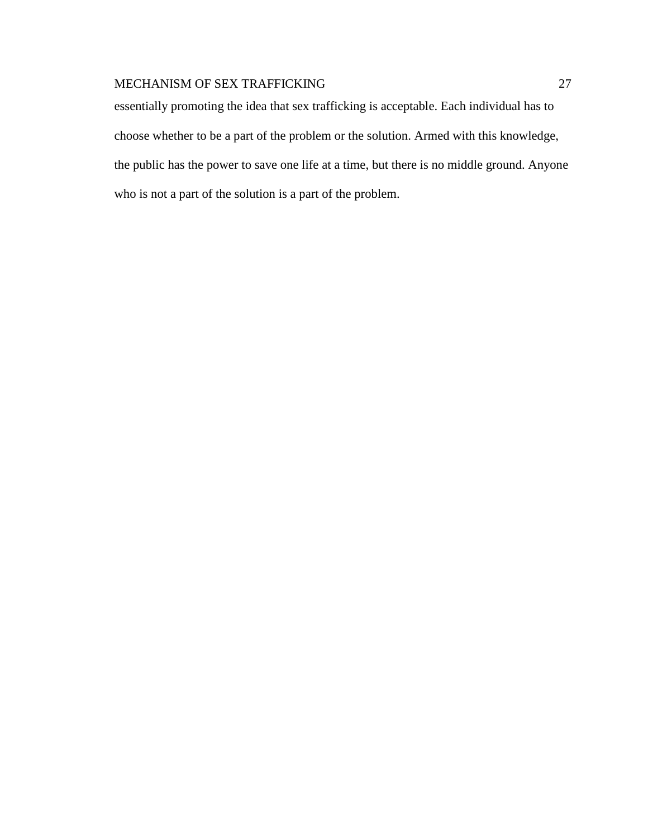essentially promoting the idea that sex trafficking is acceptable. Each individual has to choose whether to be a part of the problem or the solution. Armed with this knowledge, the public has the power to save one life at a time, but there is no middle ground. Anyone who is not a part of the solution is a part of the problem.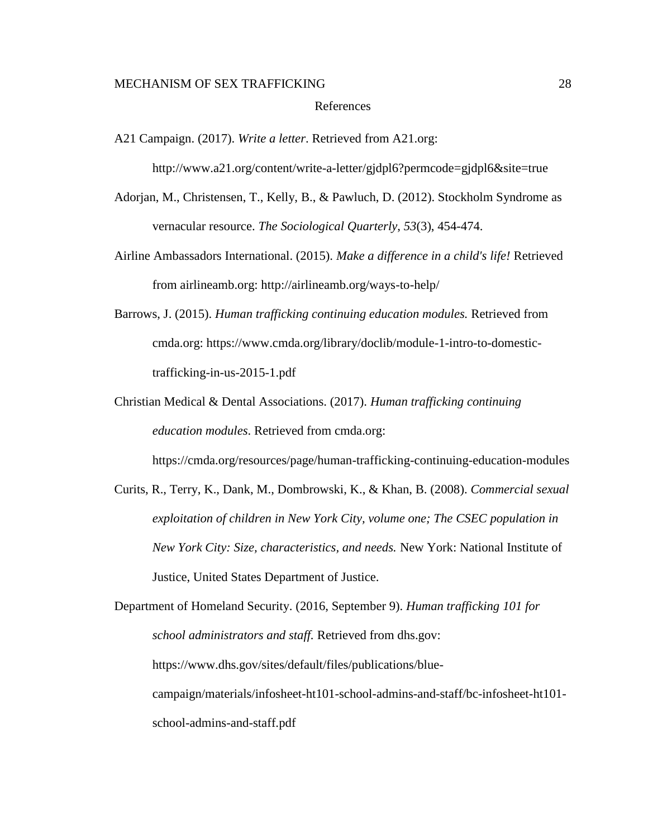#### References

A21 Campaign. (2017). *Write a letter*. Retrieved from A21.org:

http://www.a21.org/content/write-a-letter/gjdpl6?permcode=gjdpl6&site=true

- Adorjan, M., Christensen, T., Kelly, B., & Pawluch, D. (2012). Stockholm Syndrome as vernacular resource. *The Sociological Quarterly*, *53*(3), 454-474.
- Airline Ambassadors International. (2015). *Make a difference in a child's life!* Retrieved from airlineamb.org: http://airlineamb.org/ways-to-help/
- Barrows, J. (2015). *Human trafficking continuing education modules.* Retrieved from cmda.org: https://www.cmda.org/library/doclib/module-1-intro-to-domestictrafficking-in-us-2015-1.pdf
- Christian Medical & Dental Associations. (2017). *Human trafficking continuing education modules*. Retrieved from cmda.org:

https://cmda.org/resources/page/human-trafficking-continuing-education-modules

Curits, R., Terry, K., Dank, M., Dombrowski, K., & Khan, B. (2008). *Commercial sexual exploitation of children in New York City, volume one; The CSEC population in New York City: Size, characteristics, and needs.* New York: National Institute of Justice, United States Department of Justice.

Department of Homeland Security. (2016, September 9). *Human trafficking 101 for school administrators and staff.* Retrieved from dhs.gov: https://www.dhs.gov/sites/default/files/publications/bluecampaign/materials/infosheet-ht101-school-admins-and-staff/bc-infosheet-ht101 school-admins-and-staff.pdf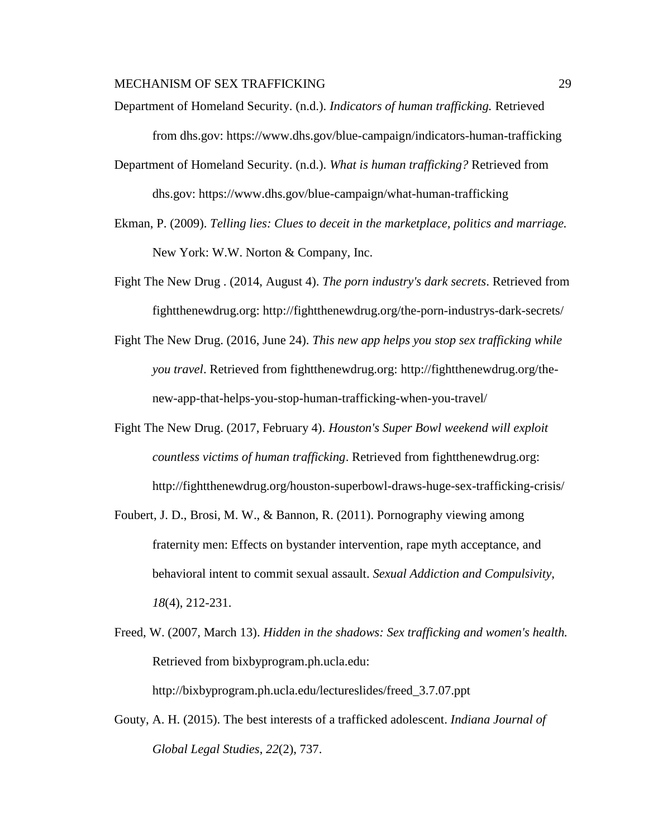- Department of Homeland Security. (n.d.). *Indicators of human trafficking.* Retrieved from dhs.gov: https://www.dhs.gov/blue-campaign/indicators-human-trafficking
- Department of Homeland Security. (n.d.). *What is human trafficking?* Retrieved from dhs.gov: https://www.dhs.gov/blue-campaign/what-human-trafficking
- Ekman, P. (2009). *Telling lies: Clues to deceit in the marketplace, politics and marriage.* New York: W.W. Norton & Company, Inc.
- Fight The New Drug . (2014, August 4). *The porn industry's dark secrets*. Retrieved from fightthenewdrug.org: http://fightthenewdrug.org/the-porn-industrys-dark-secrets/
- Fight The New Drug. (2016, June 24). *This new app helps you stop sex trafficking while you travel*. Retrieved from fightthenewdrug.org: http://fightthenewdrug.org/thenew-app-that-helps-you-stop-human-trafficking-when-you-travel/
- Fight The New Drug. (2017, February 4). *Houston's Super Bowl weekend will exploit countless victims of human trafficking*. Retrieved from fightthenewdrug.org: http://fightthenewdrug.org/houston-superbowl-draws-huge-sex-trafficking-crisis/
- Foubert, J. D., Brosi, M. W., & Bannon, R. (2011). Pornography viewing among fraternity men: Effects on bystander intervention, rape myth acceptance, and behavioral intent to commit sexual assault. *Sexual Addiction and Compulsivity*, *18*(4), 212-231.
- Freed, W. (2007, March 13). *Hidden in the shadows: Sex trafficking and women's health.* Retrieved from bixbyprogram.ph.ucla.edu: http://bixbyprogram.ph.ucla.edu/lectureslides/freed\_3.7.07.ppt
- Gouty, A. H. (2015). The best interests of a trafficked adolescent. *Indiana Journal of Global Legal Studies*, *22*(2), 737.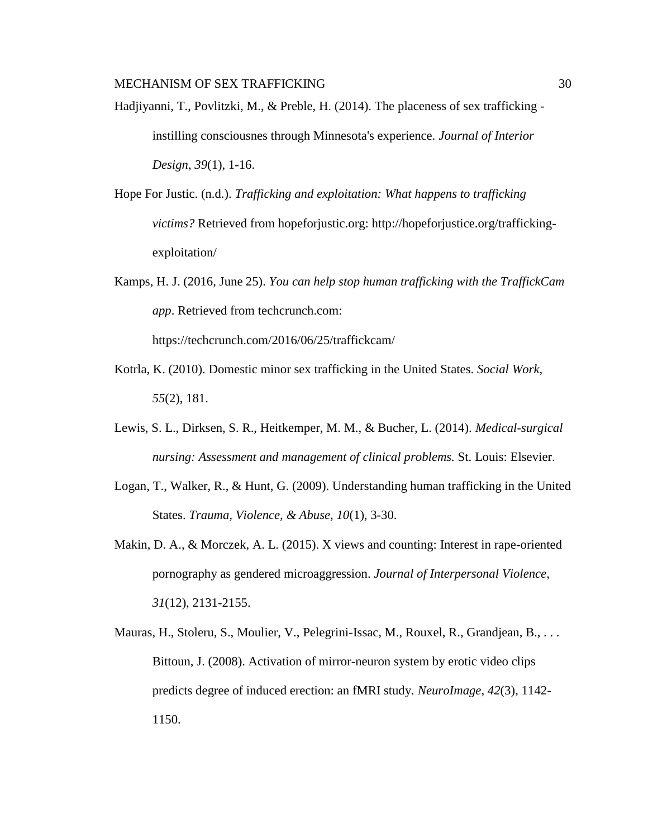- Hadjiyanni, T., Povlitzki, M., & Preble, H. (2014). The placeness of sex trafficking instilling consciousnes through Minnesota's experience. *Journal of Interior Design*, *39*(1), 1-16.
- Hope For Justic. (n.d.). *Trafficking and exploitation: What happens to trafficking victims?* Retrieved from hopeforjustic.org: http://hopeforjustice.org/traffickingexploitation/
- Kamps, H. J. (2016, June 25). *You can help stop human trafficking with the TraffickCam app*. Retrieved from techcrunch.com:

https://techcrunch.com/2016/06/25/traffickcam/

- Kotrla, K. (2010). Domestic minor sex trafficking in the United States. *Social Work*, *55*(2), 181.
- Lewis, S. L., Dirksen, S. R., Heitkemper, M. M., & Bucher, L. (2014). *Medical-surgical nursing: Assessment and management of clinical problems.* St. Louis: Elsevier.
- Logan, T., Walker, R., & Hunt, G. (2009). Understanding human trafficking in the United States. *Trauma, Violence, & Abuse*, *10*(1), 3-30.
- Makin, D. A., & Morczek, A. L. (2015). X views and counting: Interest in rape-oriented pornography as gendered microaggression. *Journal of Interpersonal Violence*, *31*(12), 2131-2155.
- Mauras, H., Stoleru, S., Moulier, V., Pelegrini-Issac, M., Rouxel, R., Grandjean, B., ... Bittoun, J. (2008). Activation of mirror-neuron system by erotic video clips predicts degree of induced erection: an fMRI study. *NeuroImage*, *42*(3), 1142- 1150.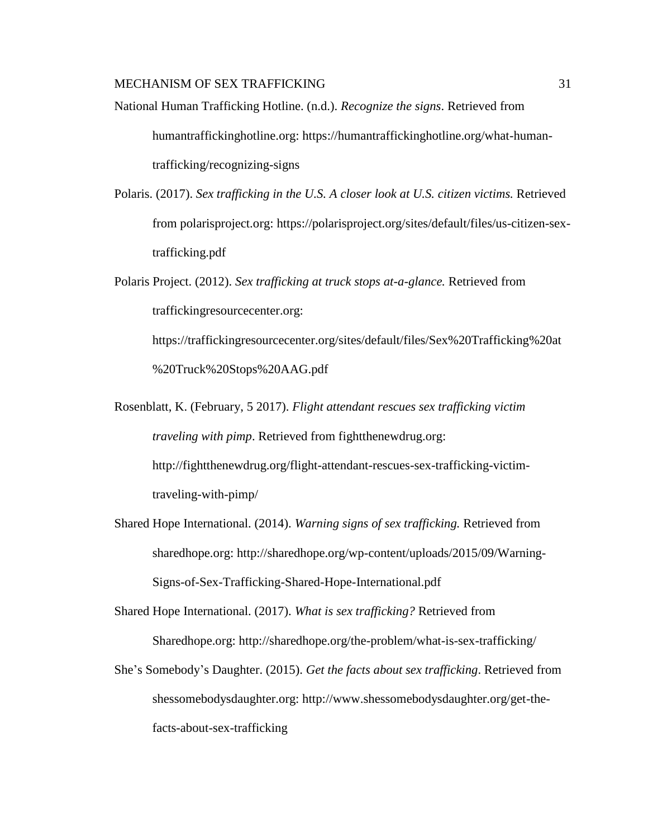- National Human Trafficking Hotline. (n.d.). *Recognize the signs*. Retrieved from humantraffickinghotline.org: https://humantraffickinghotline.org/what-humantrafficking/recognizing-signs
- Polaris. (2017). *Sex trafficking in the U.S. A closer look at U.S. citizen victims.* Retrieved from polarisproject.org: https://polarisproject.org/sites/default/files/us-citizen-sextrafficking.pdf
- Polaris Project. (2012). *Sex trafficking at truck stops at-a-glance.* Retrieved from traffickingresourcecenter.org: https://traffickingresourcecenter.org/sites/default/files/Sex%20Trafficking%20at %20Truck%20Stops%20AAG.pdf
- Rosenblatt, K. (February, 5 2017). *Flight attendant rescues sex trafficking victim traveling with pimp*. Retrieved from fightthenewdrug.org: http://fightthenewdrug.org/flight-attendant-rescues-sex-trafficking-victimtraveling-with-pimp/
- Shared Hope International. (2014). *Warning signs of sex trafficking.* Retrieved from sharedhope.org: http://sharedhope.org/wp-content/uploads/2015/09/Warning-Signs-of-Sex-Trafficking-Shared-Hope-International.pdf
- Shared Hope International. (2017). *What is sex trafficking?* Retrieved from Sharedhope.org: http://sharedhope.org/the-problem/what-is-sex-trafficking/
- She's Somebody's Daughter. (2015). *Get the facts about sex trafficking*. Retrieved from shessomebodysdaughter.org: http://www.shessomebodysdaughter.org/get-thefacts-about-sex-trafficking